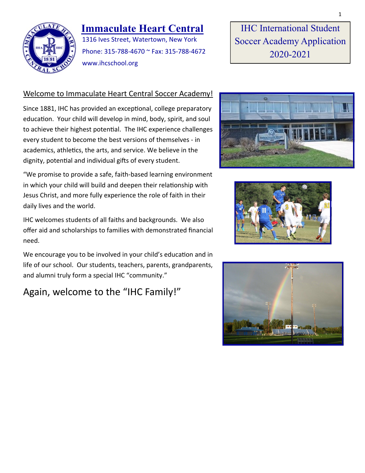

## **Immaculate Heart Central**

1316 Ives Street, Watertown, New York Phone: 315-788-4670 ~ Fax: 315-788-4672 www.ihcschool.org

IHC International Student Soccer Academy Application 2020-2021

### Welcome to Immaculate Heart Central Soccer Academy!

Since 1881, IHC has provided an exceptional, college preparatory education. Your child will develop in mind, body, spirit, and soul to achieve their highest potential. The IHC experience challenges every student to become the best versions of themselves - in academics, athletics, the arts, and service. We believe in the dignity, potential and individual gifts of every student.

"We promise to provide a safe, faith-based learning environment in which your child will build and deepen their relationship with Jesus Christ, and more fully experience the role of faith in their daily lives and the world.

IHC welcomes students of all faiths and backgrounds. We also offer aid and scholarships to families with demonstrated financial need.

We encourage you to be involved in your child's education and in life of our school. Our students, teachers, parents, grandparents, and alumni truly form a special IHC "community."

## Again, welcome to the "IHC Family!"





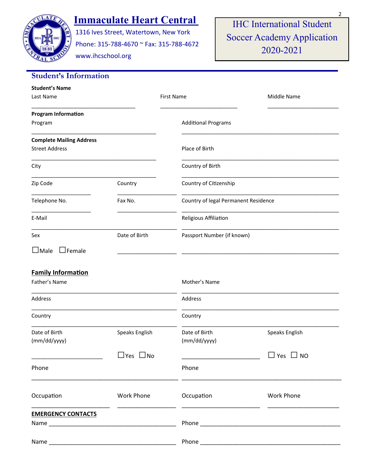

# **Immaculate Heart Central**

1316 Ives Street, Watertown, New York Phone: 315-788-4670 ~ Fax: 315-788-4672

www.ihcschool.org

IHC International Student Soccer Academy Application 2020-2021

| <b>Student's Information</b>                             |                      |                                      |                      |
|----------------------------------------------------------|----------------------|--------------------------------------|----------------------|
| <b>Student's Name</b><br>Last Name                       |                      | <b>First Name</b>                    | Middle Name          |
| <b>Program Information</b><br>Program                    |                      | <b>Additional Programs</b>           |                      |
| <b>Complete Mailing Address</b><br><b>Street Address</b> |                      | Place of Birth                       |                      |
| City                                                     |                      | Country of Birth                     |                      |
| Zip Code                                                 | Country              | Country of Citizenship               |                      |
| Telephone No.                                            | Fax No.              | Country of legal Permanent Residence |                      |
| E-Mail                                                   |                      | Religious Affiliation                |                      |
| Sex                                                      | Date of Birth        | Passport Number (if known)           |                      |
| $\square$ Male<br>$\Box$ Female                          |                      |                                      |                      |
| <b>Family Information</b>                                |                      |                                      |                      |
| Father's Name                                            |                      | Mother's Name                        |                      |
| Address                                                  |                      | Address                              |                      |
| Country                                                  |                      | Country                              |                      |
| Date of Birth<br>(mm/dd/yyyy)                            | Speaks English       | Date of Birth<br>(mm/dd/yyyy)        | Speaks English       |
|                                                          | $\Box$ Yes $\Box$ No |                                      | $\Box$ Yes $\Box$ NO |
| Phone                                                    |                      | Phone                                |                      |
| Occupation                                               | <b>Work Phone</b>    | Occupation                           | Work Phone           |
| <b>EMERGENCY CONTACTS</b>                                |                      |                                      |                      |
| Name                                                     |                      |                                      |                      |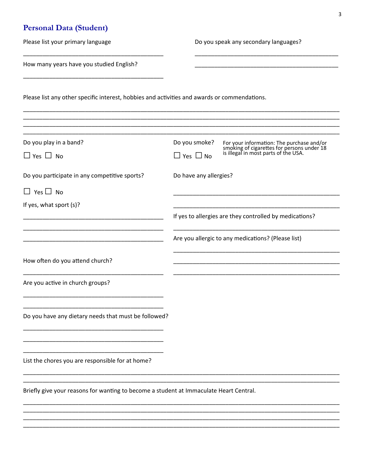## Personal Data (Student)

| Please list your primary language                                                            | Do you speak any secondary languages?                                                                                                            |
|----------------------------------------------------------------------------------------------|--------------------------------------------------------------------------------------------------------------------------------------------------|
| How many years have you studied English?                                                     |                                                                                                                                                  |
| Please list any other specific interest, hobbies and activities and awards or commendations. |                                                                                                                                                  |
| Do you play in a band?                                                                       | Do you smoke?<br>For your information: The purchase and/or<br>smoking of cigarettes for persons under 18<br>is illegal in most parts of the USA. |
| $\Box$ Yes $\Box$ No                                                                         | $\Box$ Yes $\Box$ No                                                                                                                             |
| Do you participate in any competitive sports?                                                | Do have any allergies?                                                                                                                           |
| $\Box$ Yes $\Box$ No                                                                         |                                                                                                                                                  |
| If yes, what sport (s)?                                                                      | If yes to allergies are they controlled by medications?                                                                                          |
|                                                                                              | Are you allergic to any medications? (Please list)                                                                                               |
| How often do you attend church?                                                              |                                                                                                                                                  |
| Are you active in church groups?                                                             |                                                                                                                                                  |
| Do you have any dietary needs that must be followed?                                         |                                                                                                                                                  |
| List the chores you are responsible for at home?                                             |                                                                                                                                                  |
| Briefly give your reasons for wanting to become a student at Immaculate Heart Central.       |                                                                                                                                                  |
|                                                                                              |                                                                                                                                                  |
|                                                                                              |                                                                                                                                                  |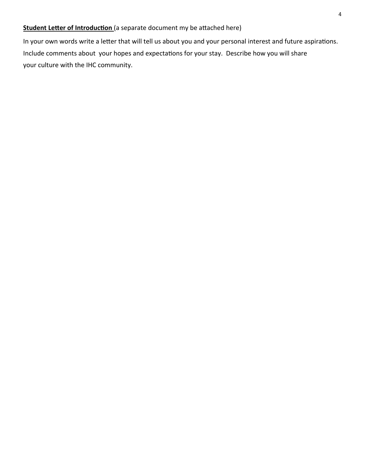### **Student Letter of Introduction** (a separate document my be attached here)

In your own words write a letter that will tell us about you and your personal interest and future aspirations. Include comments about your hopes and expectations for your stay. Describe how you will share your culture with the IHC community.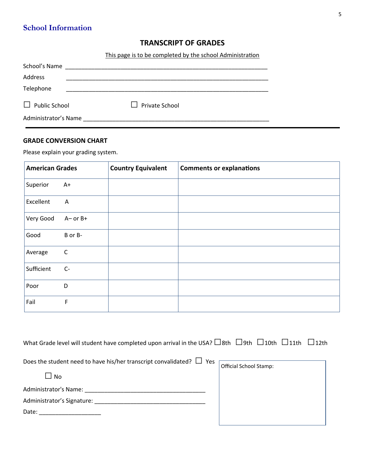## **School Information**

### **TRANSCRIPT OF GRADES**

This page is to be completed by the school Administration

| School's Name        |                       |  |
|----------------------|-----------------------|--|
| Address              |                       |  |
| Telephone            |                       |  |
| $\Box$ Public School | $\Box$ Private School |  |
| Administrator's Name |                       |  |

#### **GRADE CONVERSION CHART**

Please explain your grading system.

| <b>American Grades</b> |              | <b>Country Equivalent</b> | <b>Comments or explanations</b> |
|------------------------|--------------|---------------------------|---------------------------------|
| Superior               | $A+$         |                           |                                 |
| Excellent              | A            |                           |                                 |
| Very Good              | $A-$ or $B+$ |                           |                                 |
| Good                   | B or B-      |                           |                                 |
| Average                | $\mathsf C$  |                           |                                 |
| Sufficient             | $C-$         |                           |                                 |
| Poor                   | D            |                           |                                 |
| Fail                   | F            |                           |                                 |

| What Grade level will student have completed upon arrival in the USA? $\Box$ 8th $\Box$ 9th $\Box$ 10th $\Box$ 11th $\Box$ 12th |                        |  |
|---------------------------------------------------------------------------------------------------------------------------------|------------------------|--|
| Does the student need to have his/her transcript convalidated? $\Box$ Yes $\Box$<br><b>No</b>                                   | Official School Stamp: |  |
|                                                                                                                                 |                        |  |
|                                                                                                                                 |                        |  |
| Date: ________________________                                                                                                  |                        |  |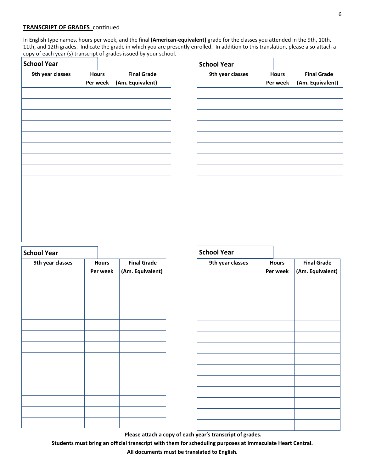#### **TRANSCRIPT OF GRADES** continued

In English type names, hours per week, and the final **(American-equivalent)** grade for the classes you attended in the 9th, 10th, 11th, and 12th grades. Indicate the grade in which you are presently enrolled. In addition to this translation, please also attach a copy of each year (s) transcript of grades issued by your school.  $\mathbf{r}$ 

| <b>School Year</b> |                          |  |                                        |
|--------------------|--------------------------|--|----------------------------------------|
| 9th year classes   | <b>Hours</b><br>Per week |  | <b>Final Grade</b><br>(Am. Equivalent) |
|                    |                          |  |                                        |
|                    |                          |  |                                        |
|                    |                          |  |                                        |
|                    |                          |  |                                        |
|                    |                          |  |                                        |
|                    |                          |  |                                        |
|                    |                          |  |                                        |
|                    |                          |  |                                        |
|                    |                          |  |                                        |
|                    |                          |  |                                        |
|                    |                          |  |                                        |
|                    |                          |  |                                        |

| <b>School Year</b> |                          |                                        |
|--------------------|--------------------------|----------------------------------------|
| 9th year classes   | <b>Hours</b><br>Per week | <b>Final Grade</b><br>(Am. Equivalent) |
|                    |                          |                                        |
|                    |                          |                                        |
|                    |                          |                                        |
|                    |                          |                                        |
|                    |                          |                                        |
|                    |                          |                                        |
|                    |                          |                                        |
|                    |                          |                                        |
|                    |                          |                                        |
|                    |                          |                                        |

| <b>School Year</b> |                          |                                        |
|--------------------|--------------------------|----------------------------------------|
| 9th year classes   | <b>Hours</b><br>Per week | <b>Final Grade</b><br>(Am. Equivalent) |
|                    |                          |                                        |
|                    |                          |                                        |
|                    |                          |                                        |
|                    |                          |                                        |
|                    |                          |                                        |
|                    |                          |                                        |
|                    |                          |                                        |
|                    |                          |                                        |
|                    |                          |                                        |

#### **School Year**

| 9th year classes | <b>Hours</b> | <b>Final Grade</b> |
|------------------|--------------|--------------------|
|                  | Per week     | (Am. Equivalent)   |
|                  |              |                    |
|                  |              |                    |
|                  |              |                    |
|                  |              |                    |
|                  |              |                    |
|                  |              |                    |
|                  |              |                    |
|                  |              |                    |
|                  |              |                    |
|                  |              |                    |
|                  |              |                    |
|                  |              |                    |
|                  |              |                    |
|                  |              |                    |

**Please attach a copy of each year's transcript of grades.**

**Students must bring an official transcript with them for scheduling purposes at Immaculate Heart Central. All documents must be translated to English.**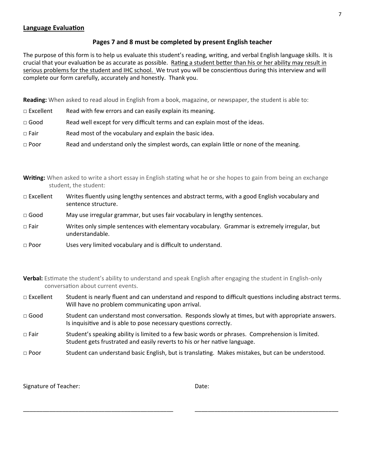#### **Language Evaluation**

#### **Pages 7 and 8 must be completed by present English teacher**

The purpose of this form is to help us evaluate this student's reading, writing, and verbal English language skills. It is crucial that your evaluation be as accurate as possible. Rating a student better than his or her ability may result in serious problems for the student and IHC school. We trust you will be conscientious during this interview and will complete our form carefully, accurately and honestly. Thank you.

**Reading:** When asked to read aloud in English from a book, magazine, or newspaper, the student is able to:

- $\Box$  Excellent Read with few errors and can easily explain its meaning.
- $\Box$  Good Read well except for very difficult terms and can explain most of the ideas.
- $\Box$  Fair Read most of the vocabulary and explain the basic idea.
- □ Poor Read and understand only the simplest words, can explain little or none of the meaning.

**Writing:** When asked to write a short essay in English stating what he or she hopes to gain from being an exchange student, the student:

| $\Box$ Excellent | Writes fluently using lengthy sentences and abstract terms, with a good English vocabulary and |
|------------------|------------------------------------------------------------------------------------------------|
|                  | sentence structure.                                                                            |

- □ Good May use irregular grammar, but uses fair vocabulary in lengthy sentences.
- □ Fair Writes only simple sentences with elementary vocabulary. Grammar is extremely irregular, but understandable.
- □ Poor Uses very limited vocabulary and is difficult to understand.

**Verbal:** Estimate the student's ability to understand and speak English after engaging the student in English-only conversation about current events.

- □ Excellent Student is nearly fluent and can understand and respond to difficult questions including abstract terms. Will have no problem communicating upon arrival.
- □ Good Student can understand most conversation. Responds slowly at times, but with appropriate answers. Is inquisitive and is able to pose necessary questions correctly.
- □ Fair Student's speaking ability is limited to a few basic words or phrases. Comprehension is limited. Student gets frustrated and easily reverts to his or her native language.
- □ Poor Student can understand basic English, but is translating. Makes mistakes, but can be understood.

\_\_\_\_\_\_\_\_\_\_\_\_\_\_\_\_\_\_\_\_\_\_\_\_\_\_\_\_\_\_\_\_\_\_\_\_\_\_\_\_\_\_\_\_\_\_ \_\_\_\_\_\_\_\_\_\_\_\_\_\_\_\_\_\_\_\_\_\_\_\_\_\_\_\_\_\_\_\_\_\_\_\_\_\_\_\_\_\_\_\_

Signature of Teacher:  $\Box$